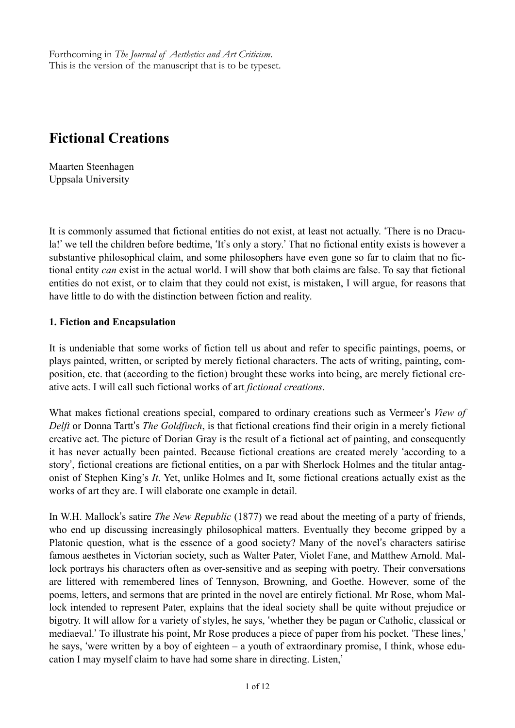Forthcoming in *The Journal of Aesthetics and Art Criticism*. This is the version of the manuscript that is to be typeset.

# **Fictional Creations**

Maarten Steenhagen Uppsala University

It is commonly assumed that fictional entities do not exist, at least not actually. 'There is no Dracula!' we tell the children before bedtime, 'It's only a story.' That no fictional entity exists is however a substantive philosophical claim, and some philosophers have even gone so far to claim that no fictional entity *can* exist in the actual world. I will show that both claims are false. To say that fictional entities do not exist, or to claim that they could not exist, is mistaken, I will argue, for reasons that have little to do with the distinction between fiction and reality.

#### **1. Fiction and Encapsulation**

It is undeniable that some works of fiction tell us about and refer to specific paintings, poems, or plays painted, written, or scripted by merely fictional characters. The acts of writing, painting, composition, etc. that (according to the fiction) brought these works into being, are merely fictional creative acts. I will call such fictional works of art *fictional creations*.

What makes fictional creations special, compared to ordinary creations such as Vermeer's *View of Delft* or Donna Tartt's *The Goldfinch*, is that fictional creations find their origin in a merely fictional creative act. The picture of Dorian Gray is the result of a fictional act of painting, and consequently it has never actually been painted. Because fictional creations are created merely 'according to a story', fictional creations are fictional entities, on a par with Sherlock Holmes and the titular antagonist of Stephen King's *It*. Yet, unlike Holmes and It, some fictional creations actually exist as the works of art they are. I will elaborate one example in detail.

In W.H. Mallock's satire *The New Republic* (1877) we read about the meeting of a party of friends, who end up discussing increasingly philosophical matters. Eventually they become gripped by a Platonic question, what is the essence of a good society? Many of the novel's characters satirise famous aesthetes in Victorian society, such as Walter Pater, Violet Fane, and Matthew Arnold. Mallock portrays his characters often as over-sensitive and as seeping with poetry. Their conversations are littered with remembered lines of Tennyson, Browning, and Goethe. However, some of the poems, letters, and sermons that are printed in the novel are entirely fictional. Mr Rose, whom Mallock intended to represent Pater, explains that the ideal society shall be quite without prejudice or bigotry. It will allow for a variety of styles, he says, 'whether they be pagan or Catholic, classical or mediaeval.' To illustrate his point, Mr Rose produces a piece of paper from his pocket. 'These lines,' he says, 'were written by a boy of eighteen – a youth of extraordinary promise, I think, whose education I may myself claim to have had some share in directing. Listen,'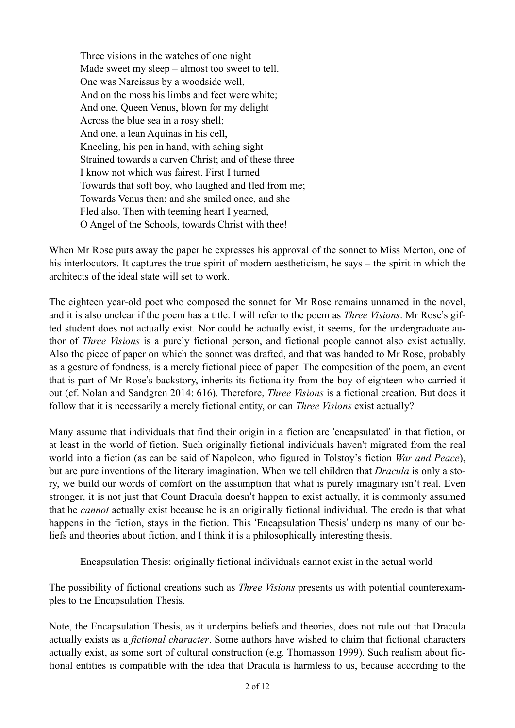Three visions in the watches of one night Made sweet my sleep – almost too sweet to tell. One was Narcissus by a woodside well, And on the moss his limbs and feet were white; And one, Queen Venus, blown for my delight Across the blue sea in a rosy shell; And one, a lean Aquinas in his cell, Kneeling, his pen in hand, with aching sight Strained towards a carven Christ: and of these three I know not which was fairest. First I turned Towards that soft boy, who laughed and fled from me; Towards Venus then; and she smiled once, and she Fled also. Then with teeming heart I yearned, O Angel of the Schools, towards Christ with thee!

When Mr Rose puts away the paper he expresses his approval of the sonnet to Miss Merton, one of his interlocutors. It captures the true spirit of modern aestheticism, he says – the spirit in which the architects of the ideal state will set to work.

The eighteen year-old poet who composed the sonnet for Mr Rose remains unnamed in the novel, and it is also unclear if the poem has a title. I will refer to the poem as *Three Visions*. Mr Rose's gifted student does not actually exist. Nor could he actually exist, it seems, for the undergraduate author of *Three Visions* is a purely fictional person, and fictional people cannot also exist actually. Also the piece of paper on which the sonnet was drafted, and that was handed to Mr Rose, probably as a gesture of fondness, is a merely fictional piece of paper. The composition of the poem, an event that is part of Mr Rose's backstory, inherits its fictionality from the boy of eighteen who carried it out (cf. Nolan and Sandgren 2014: 616). Therefore, *Three Visions* is a fictional creation. But does it follow that it is necessarily a merely fictional entity, or can *Three Visions* exist actually?

Many assume that individuals that find their origin in a fiction are 'encapsulated' in that fiction, or at least in the world of fiction. Such originally fictional individuals haven't migrated from the real world into a fiction (as can be said of Napoleon, who figured in Tolstoy's fiction *War and Peace*), but are pure inventions of the literary imagination. When we tell children that *Dracula* is only a story, we build our words of comfort on the assumption that what is purely imaginary isn't real. Even stronger, it is not just that Count Dracula doesn't happen to exist actually, it is commonly assumed that he *cannot* actually exist because he is an originally fictional individual. The credo is that what happens in the fiction, stays in the fiction. This 'Encapsulation Thesis' underpins many of our beliefs and theories about fiction, and I think it is a philosophically interesting thesis.

Encapsulation Thesis: originally fictional individuals cannot exist in the actual world

The possibility of fictional creations such as *Three Visions* presents us with potential counterexamples to the Encapsulation Thesis.

Note, the Encapsulation Thesis, as it underpins beliefs and theories, does not rule out that Dracula actually exists as a *fictional character*. Some authors have wished to claim that fictional characters actually exist, as some sort of cultural construction (e.g. Thomasson 1999). Such realism about fictional entities is compatible with the idea that Dracula is harmless to us, because according to the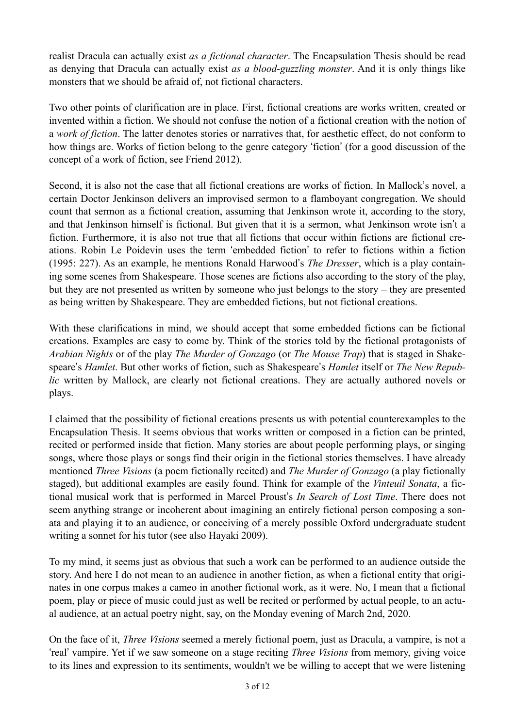realist Dracula can actually exist *as a fictional character*. The Encapsulation Thesis should be read as denying that Dracula can actually exist *as a blood-guzzling monster*. And it is only things like monsters that we should be afraid of, not fictional characters.

Two other points of clarification are in place. First, fictional creations are works written, created or invented within a fiction. We should not confuse the notion of a fictional creation with the notion of a *work of fiction*. The latter denotes stories or narratives that, for aesthetic effect, do not conform to how things are. Works of fiction belong to the genre category 'fiction' (for a good discussion of the concept of a work of fiction, see Friend 2012).

Second, it is also not the case that all fictional creations are works of fiction. In Mallock's novel, a certain Doctor Jenkinson delivers an improvised sermon to a flamboyant congregation. We should count that sermon as a fictional creation, assuming that Jenkinson wrote it, according to the story, and that Jenkinson himself is fictional. But given that it is a sermon, what Jenkinson wrote isn't a fiction. Furthermore, it is also not true that all fictions that occur within fictions are fictional creations. Robin Le Poidevin uses the term 'embedded fiction' to refer to fictions within a fiction (1995: 227). As an example, he mentions Ronald Harwood's *The Dresser*, which is a play containing some scenes from Shakespeare. Those scenes are fictions also according to the story of the play, but they are not presented as written by someone who just belongs to the story – they are presented as being written by Shakespeare. They are embedded fictions, but not fictional creations.

With these clarifications in mind, we should accept that some embedded fictions can be fictional creations. Examples are easy to come by. Think of the stories told by the fictional protagonists of *Arabian Nights* or of the play *The Murder of Gonzago* (or *The Mouse Trap*) that is staged in Shakespeare's *Hamlet*. But other works of fiction, such as Shakespeare's *Hamlet* itself or *The New Republic* written by Mallock, are clearly not fictional creations. They are actually authored novels or plays.

I claimed that the possibility of fictional creations presents us with potential counterexamples to the Encapsulation Thesis. It seems obvious that works written or composed in a fiction can be printed, recited or performed inside that fiction. Many stories are about people performing plays, or singing songs, where those plays or songs find their origin in the fictional stories themselves. I have already mentioned *Three Visions* (a poem fictionally recited) and *The Murder of Gonzago* (a play fictionally staged), but additional examples are easily found. Think for example of the *Vinteuil Sonata*, a fictional musical work that is performed in Marcel Proust's *In Search of Lost Time*. There does not seem anything strange or incoherent about imagining an entirely fictional person composing a sonata and playing it to an audience, or conceiving of a merely possible Oxford undergraduate student writing a sonnet for his tutor (see also Hayaki 2009).

To my mind, it seems just as obvious that such a work can be performed to an audience outside the story. And here I do not mean to an audience in another fiction, as when a fictional entity that originates in one corpus makes a cameo in another fictional work, as it were. No, I mean that a fictional poem, play or piece of music could just as well be recited or performed by actual people, to an actual audience, at an actual poetry night, say, on the Monday evening of March 2nd, 2020.

On the face of it, *Three Visions* seemed a merely fictional poem, just as Dracula, a vampire, is not a 'real' vampire. Yet if we saw someone on a stage reciting *Three Visions* from memory, giving voice to its lines and expression to its sentiments, wouldn't we be willing to accept that we were listening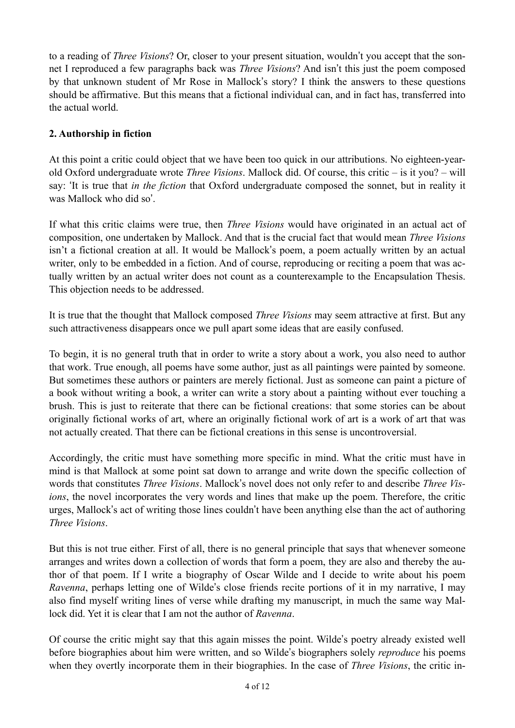to a reading of *Three Visions*? Or, closer to your present situation, wouldn't you accept that the sonnet I reproduced a few paragraphs back was *Three Visions*? And isn't this just the poem composed by that unknown student of Mr Rose in Mallock's story? I think the answers to these questions should be affirmative. But this means that a fictional individual can, and in fact has, transferred into the actual world.

## **2. Authorship in fiction**

At this point a critic could object that we have been too quick in our attributions. No eighteen-yearold Oxford undergraduate wrote *Three Visions*. Mallock did. Of course, this critic – is it you? – will say: 'It is true that *in the fiction* that Oxford undergraduate composed the sonnet, but in reality it was Mallock who did so'.

If what this critic claims were true, then *Three Visions* would have originated in an actual act of composition, one undertaken by Mallock. And that is the crucial fact that would mean *Three Visions*  isn't a fictional creation at all. It would be Mallock's poem, a poem actually written by an actual writer, only to be embedded in a fiction. And of course, reproducing or reciting a poem that was actually written by an actual writer does not count as a counterexample to the Encapsulation Thesis. This objection needs to be addressed.

It is true that the thought that Mallock composed *Three Visions* may seem attractive at first. But any such attractiveness disappears once we pull apart some ideas that are easily confused.

To begin, it is no general truth that in order to write a story about a work, you also need to author that work. True enough, all poems have some author, just as all paintings were painted by someone. But sometimes these authors or painters are merely fictional. Just as someone can paint a picture of a book without writing a book, a writer can write a story about a painting without ever touching a brush. This is just to reiterate that there can be fictional creations: that some stories can be about originally fictional works of art, where an originally fictional work of art is a work of art that was not actually created. That there can be fictional creations in this sense is uncontroversial.

Accordingly, the critic must have something more specific in mind. What the critic must have in mind is that Mallock at some point sat down to arrange and write down the specific collection of words that constitutes *Three Visions*. Mallock's novel does not only refer to and describe *Three Visions*, the novel incorporates the very words and lines that make up the poem. Therefore, the critic urges, Mallock's act of writing those lines couldn't have been anything else than the act of authoring *Three Visions*.

But this is not true either. First of all, there is no general principle that says that whenever someone arranges and writes down a collection of words that form a poem, they are also and thereby the author of that poem. If I write a biography of Oscar Wilde and I decide to write about his poem *Ravenna*, perhaps letting one of Wilde's close friends recite portions of it in my narrative, I may also find myself writing lines of verse while drafting my manuscript, in much the same way Mallock did. Yet it is clear that I am not the author of *Ravenna*.

Of course the critic might say that this again misses the point. Wilde's poetry already existed well before biographies about him were written, and so Wilde's biographers solely *reproduce* his poems when they overtly incorporate them in their biographies. In the case of *Three Visions*, the critic in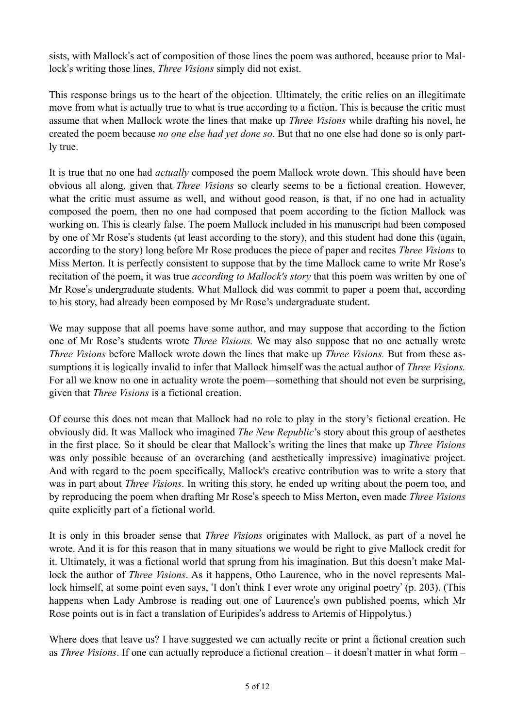sists, with Mallock's act of composition of those lines the poem was authored, because prior to Mallock's writing those lines, *Three Visions* simply did not exist.

This response brings us to the heart of the objection. Ultimately, the critic relies on an illegitimate move from what is actually true to what is true according to a fiction. This is because the critic must assume that when Mallock wrote the lines that make up *Three Visions* while drafting his novel, he created the poem because *no one else had yet done so*. But that no one else had done so is only partly true.

It is true that no one had *actually* composed the poem Mallock wrote down. This should have been obvious all along, given that *Three Visions* so clearly seems to be a fictional creation. However, what the critic must assume as well, and without good reason, is that, if no one had in actuality composed the poem, then no one had composed that poem according to the fiction Mallock was working on. This is clearly false. The poem Mallock included in his manuscript had been composed by one of Mr Rose's students (at least according to the story), and this student had done this (again, according to the story) long before Mr Rose produces the piece of paper and recites *Three Visions* to Miss Merton. It is perfectly consistent to suppose that by the time Mallock came to write Mr Rose's recitation of the poem, it was true *according to Mallock's story* that this poem was written by one of Mr Rose's undergraduate students. What Mallock did was commit to paper a poem that, according to his story, had already been composed by Mr Rose's undergraduate student.

We may suppose that all poems have some author, and may suppose that according to the fiction one of Mr Rose's students wrote *Three Visions.* We may also suppose that no one actually wrote *Three Visions* before Mallock wrote down the lines that make up *Three Visions.* But from these assumptions it is logically invalid to infer that Mallock himself was the actual author of *Three Visions.*  For all we know no one in actuality wrote the poem—something that should not even be surprising, given that *Three Visions* is a fictional creation.

Of course this does not mean that Mallock had no role to play in the story's fictional creation. He obviously did. It was Mallock who imagined *The New Republic*'s story about this group of aesthetes in the first place. So it should be clear that Mallock's writing the lines that make up *Three Visions* was only possible because of an overarching (and aesthetically impressive) imaginative project. And with regard to the poem specifically, Mallock's creative contribution was to write a story that was in part about *Three Visions*. In writing this story, he ended up writing about the poem too, and by reproducing the poem when drafting Mr Rose's speech to Miss Merton, even made *Three Visions* quite explicitly part of a fictional world.

It is only in this broader sense that *Three Visions* originates with Mallock, as part of a novel he wrote. And it is for this reason that in many situations we would be right to give Mallock credit for it. Ultimately, it was a fictional world that sprung from his imagination. But this doesn't make Mallock the author of *Three Visions*. As it happens, Otho Laurence, who in the novel represents Mallock himself, at some point even says, 'I don't think I ever wrote any original poetry' (p. 203). (This happens when Lady Ambrose is reading out one of Laurence's own published poems, which Mr Rose points out is in fact a translation of Euripides's address to Artemis of Hippolytus.)

Where does that leave us? I have suggested we can actually recite or print a fictional creation such as *Three Visions*. If one can actually reproduce a fictional creation – it doesn't matter in what form –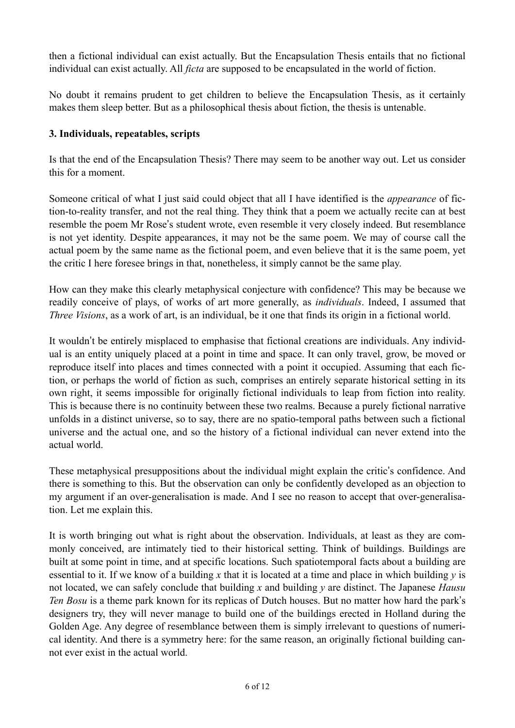then a fictional individual can exist actually. But the Encapsulation Thesis entails that no fictional individual can exist actually. All *ficta* are supposed to be encapsulated in the world of fiction.

No doubt it remains prudent to get children to believe the Encapsulation Thesis, as it certainly makes them sleep better. But as a philosophical thesis about fiction, the thesis is untenable.

### **3. Individuals, repeatables, scripts**

Is that the end of the Encapsulation Thesis? There may seem to be another way out. Let us consider this for a moment.

Someone critical of what I just said could object that all I have identified is the *appearance* of fiction-to-reality transfer, and not the real thing. They think that a poem we actually recite can at best resemble the poem Mr Rose's student wrote, even resemble it very closely indeed. But resemblance is not yet identity. Despite appearances, it may not be the same poem. We may of course call the actual poem by the same name as the fictional poem, and even believe that it is the same poem, yet the critic I here foresee brings in that, nonetheless, it simply cannot be the same play.

How can they make this clearly metaphysical conjecture with confidence? This may be because we readily conceive of plays, of works of art more generally, as *individuals*. Indeed, I assumed that *Three Visions*, as a work of art, is an individual, be it one that finds its origin in a fictional world.

It wouldn't be entirely misplaced to emphasise that fictional creations are individuals. Any individual is an entity uniquely placed at a point in time and space. It can only travel, grow, be moved or reproduce itself into places and times connected with a point it occupied. Assuming that each fiction, or perhaps the world of fiction as such, comprises an entirely separate historical setting in its own right, it seems impossible for originally fictional individuals to leap from fiction into reality. This is because there is no continuity between these two realms. Because a purely fictional narrative unfolds in a distinct universe, so to say, there are no spatio-temporal paths between such a fictional universe and the actual one, and so the history of a fictional individual can never extend into the actual world.

These metaphysical presuppositions about the individual might explain the critic's confidence. And there is something to this. But the observation can only be confidently developed as an objection to my argument if an over-generalisation is made. And I see no reason to accept that over-generalisation. Let me explain this.

It is worth bringing out what is right about the observation. Individuals, at least as they are commonly conceived, are intimately tied to their historical setting. Think of buildings. Buildings are built at some point in time, and at specific locations. Such spatiotemporal facts about a building are essential to it. If we know of a building *x* that it is located at a time and place in which building *y* is not located, we can safely conclude that building *x* and building *y* are distinct. The Japanese *Hausu Ten Bosu* is a theme park known for its replicas of Dutch houses. But no matter how hard the park's designers try, they will never manage to build one of the buildings erected in Holland during the Golden Age. Any degree of resemblance between them is simply irrelevant to questions of numerical identity. And there is a symmetry here: for the same reason, an originally fictional building cannot ever exist in the actual world.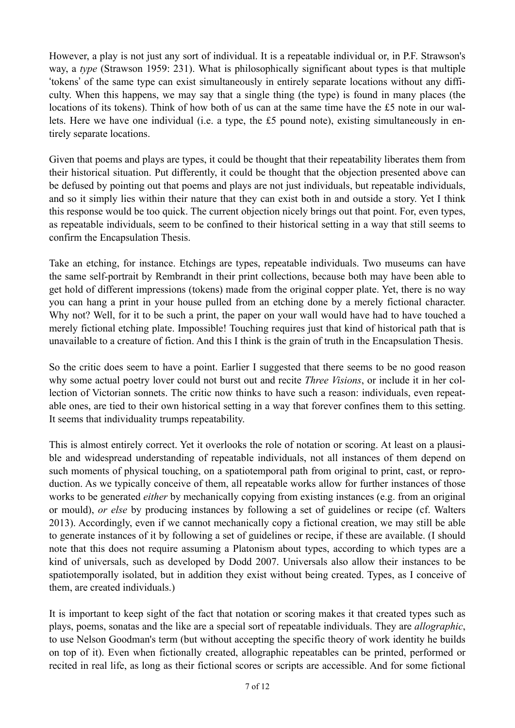However, a play is not just any sort of individual. It is a repeatable individual or, in P.F. Strawson's way, a *type* (Strawson 1959: 231). What is philosophically significant about types is that multiple 'tokens' of the same type can exist simultaneously in entirely separate locations without any difficulty. When this happens, we may say that a single thing (the type) is found in many places (the locations of its tokens). Think of how both of us can at the same time have the £5 note in our wallets. Here we have one individual (i.e. a type, the £5 pound note), existing simultaneously in entirely separate locations.

Given that poems and plays are types, it could be thought that their repeatability liberates them from their historical situation. Put differently, it could be thought that the objection presented above can be defused by pointing out that poems and plays are not just individuals, but repeatable individuals, and so it simply lies within their nature that they can exist both in and outside a story. Yet I think this response would be too quick. The current objection nicely brings out that point. For, even types, as repeatable individuals, seem to be confined to their historical setting in a way that still seems to confirm the Encapsulation Thesis.

Take an etching, for instance. Etchings are types, repeatable individuals. Two museums can have the same self-portrait by Rembrandt in their print collections, because both may have been able to get hold of different impressions (tokens) made from the original copper plate. Yet, there is no way you can hang a print in your house pulled from an etching done by a merely fictional character. Why not? Well, for it to be such a print, the paper on your wall would have had to have touched a merely fictional etching plate. Impossible! Touching requires just that kind of historical path that is unavailable to a creature of fiction. And this I think is the grain of truth in the Encapsulation Thesis.

So the critic does seem to have a point. Earlier I suggested that there seems to be no good reason why some actual poetry lover could not burst out and recite *Three Visions*, or include it in her collection of Victorian sonnets. The critic now thinks to have such a reason: individuals, even repeatable ones, are tied to their own historical setting in a way that forever confines them to this setting. It seems that individuality trumps repeatability.

This is almost entirely correct. Yet it overlooks the role of notation or scoring. At least on a plausible and widespread understanding of repeatable individuals, not all instances of them depend on such moments of physical touching, on a spatiotemporal path from original to print, cast, or reproduction. As we typically conceive of them, all repeatable works allow for further instances of those works to be generated *either* by mechanically copying from existing instances (e.g. from an original or mould), *or else* by producing instances by following a set of guidelines or recipe (cf. Walters 2013). Accordingly, even if we cannot mechanically copy a fictional creation, we may still be able to generate instances of it by following a set of guidelines or recipe, if these are available. (I should note that this does not require assuming a Platonism about types, according to which types are a kind of universals, such as developed by Dodd 2007. Universals also allow their instances to be spatiotemporally isolated, but in addition they exist without being created. Types, as I conceive of them, are created individuals.)

It is important to keep sight of the fact that notation or scoring makes it that created types such as plays, poems, sonatas and the like are a special sort of repeatable individuals. They are *allographic*, to use Nelson Goodman's term (but without accepting the specific theory of work identity he builds on top of it). Even when fictionally created, allographic repeatables can be printed, performed or recited in real life, as long as their fictional scores or scripts are accessible. And for some fictional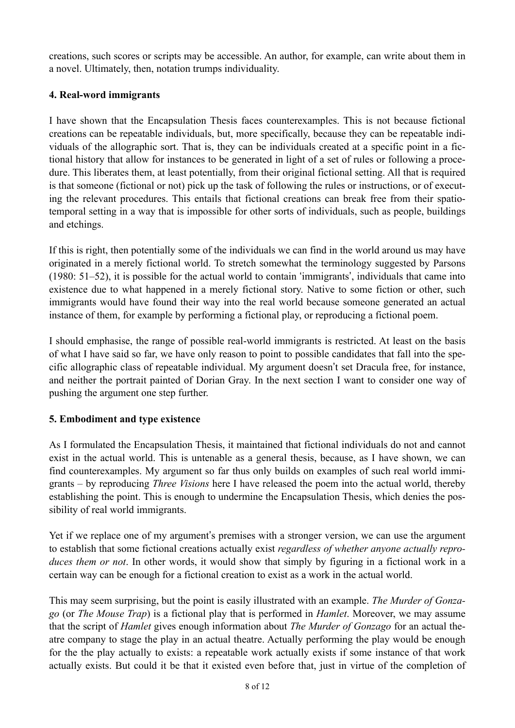creations, such scores or scripts may be accessible. An author, for example, can write about them in a novel. Ultimately, then, notation trumps individuality.

#### **4. Real-word immigrants**

I have shown that the Encapsulation Thesis faces counterexamples. This is not because fictional creations can be repeatable individuals, but, more specifically, because they can be repeatable individuals of the allographic sort. That is, they can be individuals created at a specific point in a fictional history that allow for instances to be generated in light of a set of rules or following a procedure. This liberates them, at least potentially, from their original fictional setting. All that is required is that someone (fictional or not) pick up the task of following the rules or instructions, or of executing the relevant procedures. This entails that fictional creations can break free from their spatiotemporal setting in a way that is impossible for other sorts of individuals, such as people, buildings and etchings.

If this is right, then potentially some of the individuals we can find in the world around us may have originated in a merely fictional world. To stretch somewhat the terminology suggested by Parsons (1980: 51–52), it is possible for the actual world to contain 'immigrants', individuals that came into existence due to what happened in a merely fictional story. Native to some fiction or other, such immigrants would have found their way into the real world because someone generated an actual instance of them, for example by performing a fictional play, or reproducing a fictional poem.

I should emphasise, the range of possible real-world immigrants is restricted. At least on the basis of what I have said so far, we have only reason to point to possible candidates that fall into the specific allographic class of repeatable individual. My argument doesn't set Dracula free, for instance, and neither the portrait painted of Dorian Gray. In the next section I want to consider one way of pushing the argument one step further.

### **5. Embodiment and type existence**

As I formulated the Encapsulation Thesis, it maintained that fictional individuals do not and cannot exist in the actual world. This is untenable as a general thesis, because, as I have shown, we can find counterexamples. My argument so far thus only builds on examples of such real world immigrants – by reproducing *Three Visions* here I have released the poem into the actual world, thereby establishing the point. This is enough to undermine the Encapsulation Thesis, which denies the possibility of real world immigrants.

Yet if we replace one of my argument's premises with a stronger version, we can use the argument to establish that some fictional creations actually exist *regardless of whether anyone actually reproduces them or not*. In other words, it would show that simply by figuring in a fictional work in a certain way can be enough for a fictional creation to exist as a work in the actual world.

This may seem surprising, but the point is easily illustrated with an example. *The Murder of Gonzago* (or *The Mouse Trap*) is a fictional play that is performed in *Hamlet*. Moreover, we may assume that the script of *Hamlet* gives enough information about *The Murder of Gonzago* for an actual theatre company to stage the play in an actual theatre. Actually performing the play would be enough for the the play actually to exists: a repeatable work actually exists if some instance of that work actually exists. But could it be that it existed even before that, just in virtue of the completion of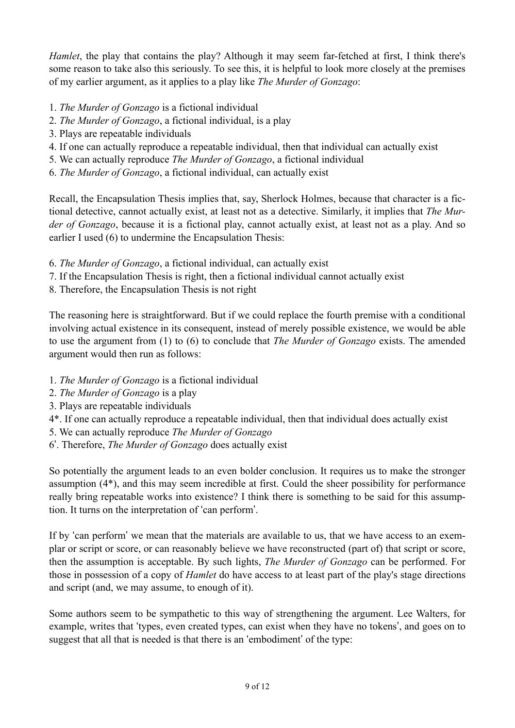*Hamlet*, the play that contains the play? Although it may seem far-fetched at first. I think there's some reason to take also this seriously. To see this, it is helpful to look more closely at the premises of my earlier argument, as it applies to a play like *The Murder of Gonzago*:

- 1. *The Murder of Gonzago* is a fictional individual
- 2. *The Murder of Gonzago*, a fictional individual, is a play
- 3. Plays are repeatable individuals
- 4. If one can actually reproduce a repeatable individual, then that individual can actually exist
- 5. We can actually reproduce *The Murder of Gonzago*, a fictional individual
- 6. *The Murder of Gonzago*, a fictional individual, can actually exist

Recall, the Encapsulation Thesis implies that, say, Sherlock Holmes, because that character is a fictional detective, cannot actually exist, at least not as a detective. Similarly, it implies that *The Murder of Gonzago*, because it is a fictional play, cannot actually exist, at least not as a play. And so earlier I used (6) to undermine the Encapsulation Thesis:

- 6. *The Murder of Gonzago*, a fictional individual, can actually exist
- 7. If the Encapsulation Thesis is right, then a fictional individual cannot actually exist
- 8. Therefore, the Encapsulation Thesis is not right

The reasoning here is straightforward. But if we could replace the fourth premise with a conditional involving actual existence in its consequent, instead of merely possible existence, we would be able to use the argument from (1) to (6) to conclude that *The Murder of Gonzago* exists. The amended argument would then run as follows:

- 1. *The Murder of Gonzago* is a fictional individual
- 2. *The Murder of Gonzago* is a play
- 3. Plays are repeatable individuals
- 4\*. If one can actually reproduce a repeatable individual, then that individual does actually exist
- 5. We can actually reproduce *The Murder of Gonzago*
- 6'. Therefore, *The Murder of Gonzago* does actually exist

So potentially the argument leads to an even bolder conclusion. It requires us to make the stronger assumption (4\*), and this may seem incredible at first. Could the sheer possibility for performance really bring repeatable works into existence? I think there is something to be said for this assumption. It turns on the interpretation of 'can perform'.

If by 'can perform' we mean that the materials are available to us, that we have access to an exemplar or script or score, or can reasonably believe we have reconstructed (part of) that script or score, then the assumption is acceptable. By such lights, *The Murder of Gonzago* can be performed. For those in possession of a copy of *Hamlet* do have access to at least part of the play's stage directions and script (and, we may assume, to enough of it).

Some authors seem to be sympathetic to this way of strengthening the argument. Lee Walters, for example, writes that 'types, even created types, can exist when they have no tokens', and goes on to suggest that all that is needed is that there is an 'embodiment' of the type: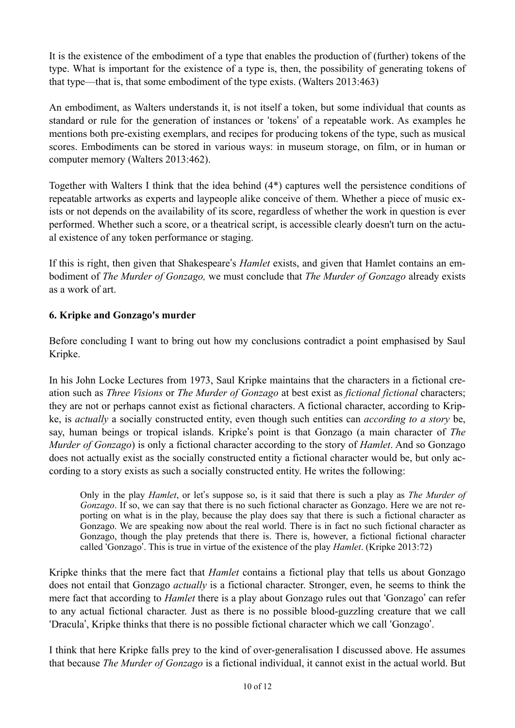It is the existence of the embodiment of a type that enables the production of (further) tokens of the type. What is important for the existence of a type is, then, the possibility of generating tokens of that type––that is, that some embodiment of the type exists. (Walters 2013:463)

An embodiment, as Walters understands it, is not itself a token, but some individual that counts as standard or rule for the generation of instances or 'tokens' of a repeatable work. As examples he mentions both pre-existing exemplars, and recipes for producing tokens of the type, such as musical scores. Embodiments can be stored in various ways: in museum storage, on film, or in human or computer memory (Walters 2013:462).

Together with Walters I think that the idea behind (4\*) captures well the persistence conditions of repeatable artworks as experts and laypeople alike conceive of them. Whether a piece of music exists or not depends on the availability of its score, regardless of whether the work in question is ever performed. Whether such a score, or a theatrical script, is accessible clearly doesn't turn on the actual existence of any token performance or staging.

If this is right, then given that Shakespeare's *Hamlet* exists, and given that Hamlet contains an embodiment of *The Murder of Gonzago,* we must conclude that *The Murder of Gonzago* already exists as a work of art.

# **6. Kripke and Gonzago's murder**

Before concluding I want to bring out how my conclusions contradict a point emphasised by Saul Kripke.

In his John Locke Lectures from 1973, Saul Kripke maintains that the characters in a fictional creation such as *Three Visions* or *The Murder of Gonzago* at best exist as *fictional fictional* characters; they are not or perhaps cannot exist as fictional characters. A fictional character, according to Kripke, is *actually* a socially constructed entity, even though such entities can *according to a story* be, say, human beings or tropical islands. Kripke's point is that Gonzago (a main character of *The Murder of Gonzago*) is only a fictional character according to the story of *Hamlet*. And so Gonzago does not actually exist as the socially constructed entity a fictional character would be, but only according to a story exists as such a socially constructed entity. He writes the following:

Only in the play *Hamlet*, or let's suppose so, is it said that there is such a play as *The Murder of Gonzago*. If so, we can say that there is no such fictional character as Gonzago. Here we are not reporting on what is in the play, because the play does say that there is such a fictional character as Gonzago. We are speaking now about the real world. There is in fact no such fictional character as Gonzago, though the play pretends that there is. There is, however, a fictional fictional character called 'Gonzago'. This is true in virtue of the existence of the play *Hamlet*. (Kripke 2013:72)

Kripke thinks that the mere fact that *Hamlet* contains a fictional play that tells us about Gonzago does not entail that Gonzago *actually* is a fictional character. Stronger, even, he seems to think the mere fact that according to *Hamlet* there is a play about Gonzago rules out that 'Gonzago' can refer to any actual fictional character. Just as there is no possible blood-guzzling creature that we call 'Dracula', Kripke thinks that there is no possible fictional character which we call 'Gonzago'.

I think that here Kripke falls prey to the kind of over-generalisation I discussed above. He assumes that because *The Murder of Gonzago* is a fictional individual, it cannot exist in the actual world. But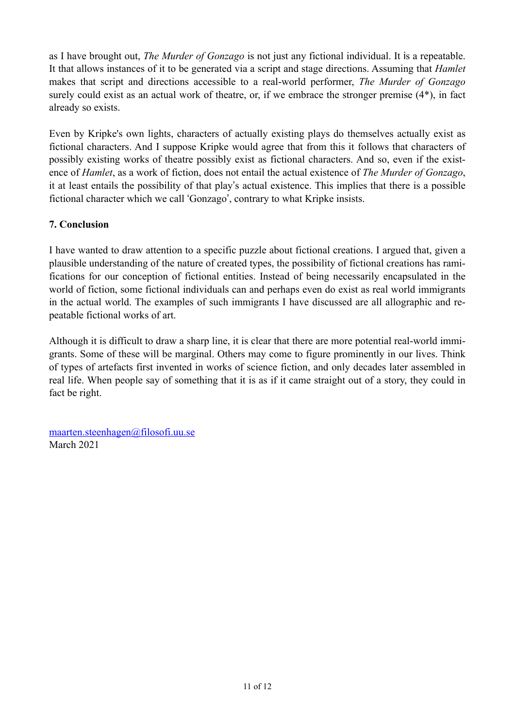as I have brought out, *The Murder of Gonzago* is not just any fictional individual. It is a repeatable. It that allows instances of it to be generated via a script and stage directions. Assuming that *Hamlet* makes that script and directions accessible to a real-world performer, *The Murder of Gonzago* surely could exist as an actual work of theatre, or, if we embrace the stronger premise (4\*), in fact already so exists.

Even by Kripke's own lights, characters of actually existing plays do themselves actually exist as fictional characters. And I suppose Kripke would agree that from this it follows that characters of possibly existing works of theatre possibly exist as fictional characters. And so, even if the existence of *Hamlet*, as a work of fiction, does not entail the actual existence of *The Murder of Gonzago*, it at least entails the possibility of that play's actual existence. This implies that there is a possible fictional character which we call 'Gonzago', contrary to what Kripke insists.

### **7. Conclusion**

I have wanted to draw attention to a specific puzzle about fictional creations. I argued that, given a plausible understanding of the nature of created types, the possibility of fictional creations has ramifications for our conception of fictional entities. Instead of being necessarily encapsulated in the world of fiction, some fictional individuals can and perhaps even do exist as real world immigrants in the actual world. The examples of such immigrants I have discussed are all allographic and repeatable fictional works of art.

Although it is difficult to draw a sharp line, it is clear that there are more potential real-world immigrants. Some of these will be marginal. Others may come to figure prominently in our lives. Think of types of artefacts first invented in works of science fiction, and only decades later assembled in real life. When people say of something that it is as if it came straight out of a story, they could in fact be right.

[maarten.steenhagen@filosofi.uu.se](mailto:maarten.steenhagen@filosofi.uu.se) March 2021